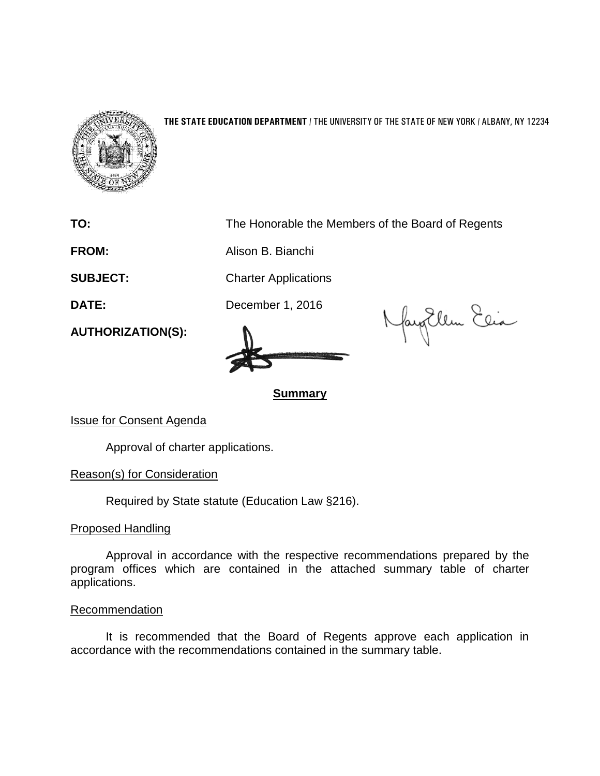

## **THE STATE EDUCATION DEPARTMENT** / THE UNIVERSITY OF THE STATE OF NEW YORK / ALBANY, NY 12234

**TO:** The Honorable the Members of the Board of Regents

**FROM:** Alison B. Bianchi

**SUBJECT:** Charter Applications

**DATE:** December 1, 2016

NayoUlem Elia

**Summary**

Issue for Consent Agenda

**AUTHORIZATION(S):**

Approval of charter applications.

Reason(s) for Consideration

Required by State statute (Education Law §216).

Proposed Handling

Approval in accordance with the respective recommendations prepared by the program offices which are contained in the attached summary table of charter applications.

## Recommendation

It is recommended that the Board of Regents approve each application in accordance with the recommendations contained in the summary table.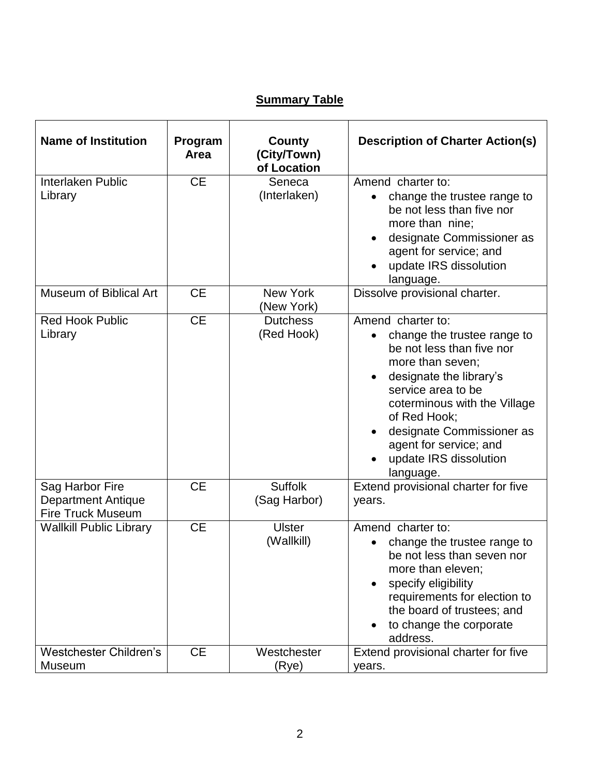## **Summary Table**

| <b>Name of Institution</b>                                               | Program<br>Area | <b>County</b><br>(City/Town)<br>of Location | <b>Description of Charter Action(s)</b>                                                                                                                                                                                                                                                                       |
|--------------------------------------------------------------------------|-----------------|---------------------------------------------|---------------------------------------------------------------------------------------------------------------------------------------------------------------------------------------------------------------------------------------------------------------------------------------------------------------|
| Interlaken Public<br>Library                                             | <b>CE</b>       | Seneca<br>(Interlaken)                      | Amend charter to:<br>change the trustee range to<br>$\bullet$<br>be not less than five nor<br>more than nine;<br>designate Commissioner as<br>$\bullet$<br>agent for service; and<br>update IRS dissolution<br>language.                                                                                      |
| Museum of Biblical Art                                                   | <b>CE</b>       | New York<br>(New York)                      | Dissolve provisional charter.                                                                                                                                                                                                                                                                                 |
| <b>Red Hook Public</b><br>Library                                        | <b>CE</b>       | <b>Dutchess</b><br>(Red Hook)               | Amend charter to:<br>change the trustee range to<br>$\bullet$<br>be not less than five nor<br>more than seven;<br>designate the library's<br>service area to be<br>coterminous with the Village<br>of Red Hook;<br>designate Commissioner as<br>agent for service; and<br>update IRS dissolution<br>language. |
| Sag Harbor Fire<br><b>Department Antique</b><br><b>Fire Truck Museum</b> | <b>CE</b>       | <b>Suffolk</b><br>(Sag Harbor)              | Extend provisional charter for five<br>years.                                                                                                                                                                                                                                                                 |
| <b>Wallkill Public Library</b>                                           | <b>CE</b>       | <b>Ulster</b><br>(Wallkill)                 | Amend charter to:<br>change the trustee range to<br>be not less than seven nor<br>more than eleven;<br>specify eligibility<br>requirements for election to<br>the board of trustees; and<br>to change the corporate<br>address.                                                                               |
| <b>Westchester Children's</b><br><b>Museum</b>                           | <b>CE</b>       | Westchester<br>(Rye)                        | Extend provisional charter for five<br>years.                                                                                                                                                                                                                                                                 |